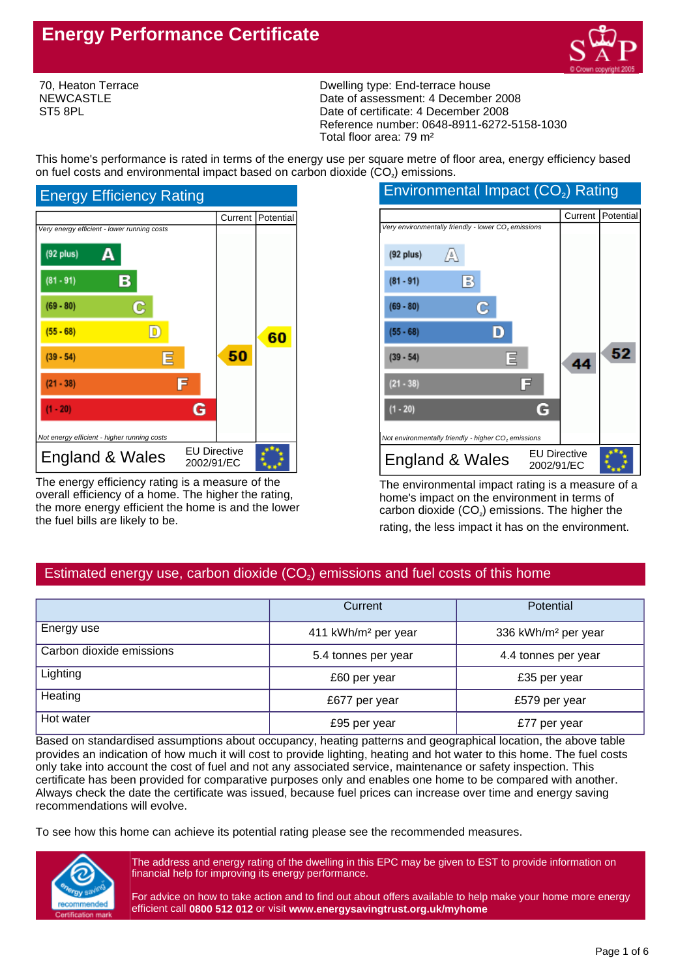# **Energy Performance Certificate**



70, Heaton Terrace NEWCASTLE ST5 8PL

Dwelling type: End-terrace house Date of assessment: 4 December 2008 Date of certificate: 4 December 2008 Reference number: 0648-8911-6272-5158-1030 Total floor area: 79 m²

This home's performance is rated in terms of the energy use per square metre of floor area, energy efficiency based on fuel costs and environmental impact based on carbon dioxide  $(CO<sub>2</sub>)$  emissions.



The energy efficiency rating is a measure of the overall efficiency of a home. The higher the rating, the more energy efficient the home is and the lower the fuel bills are likely to be.

# Environmental Impact (CO<sub>2</sub>) Rating



The environmental impact rating is a measure of a home's impact on the environment in terms of  $\mathsf{carbon}$  dioxide  $\mathsf{(CO_2)}$  emissions. The higher the rating, the less impact it has on the environment.

# Estimated energy use, carbon dioxide  $\left({\mathsf{CO}}_{\mathsf{2}}\right)$  emissions and fuel costs of this home

|                          | Current                         | <b>Potential</b>                |
|--------------------------|---------------------------------|---------------------------------|
| Energy use               | 411 kWh/m <sup>2</sup> per year | 336 kWh/m <sup>2</sup> per year |
| Carbon dioxide emissions | 5.4 tonnes per year             | 4.4 tonnes per year             |
| Lighting                 | £60 per year                    | £35 per year                    |
| Heating                  | £677 per year                   | £579 per year                   |
| Hot water                | £95 per year                    | £77 per year                    |

Based on standardised assumptions about occupancy, heating patterns and geographical location, the above table provides an indication of how much it will cost to provide lighting, heating and hot water to this home. The fuel costs only take into account the cost of fuel and not any associated service, maintenance or safety inspection. This certificate has been provided for comparative purposes only and enables one home to be compared with another. Always check the date the certificate was issued, because fuel prices can increase over time and energy saving recommendations will evolve.

To see how this home can achieve its potential rating please see the recommended measures.



The address and energy rating of the dwelling in this EPC may be given to EST to provide information on financial help for improving its energy performance.

For advice on how to take action and to find out about offers available to help make your home more energy efficient call **0800 512 012** or visit **www.energysavingtrust.org.uk/myhome**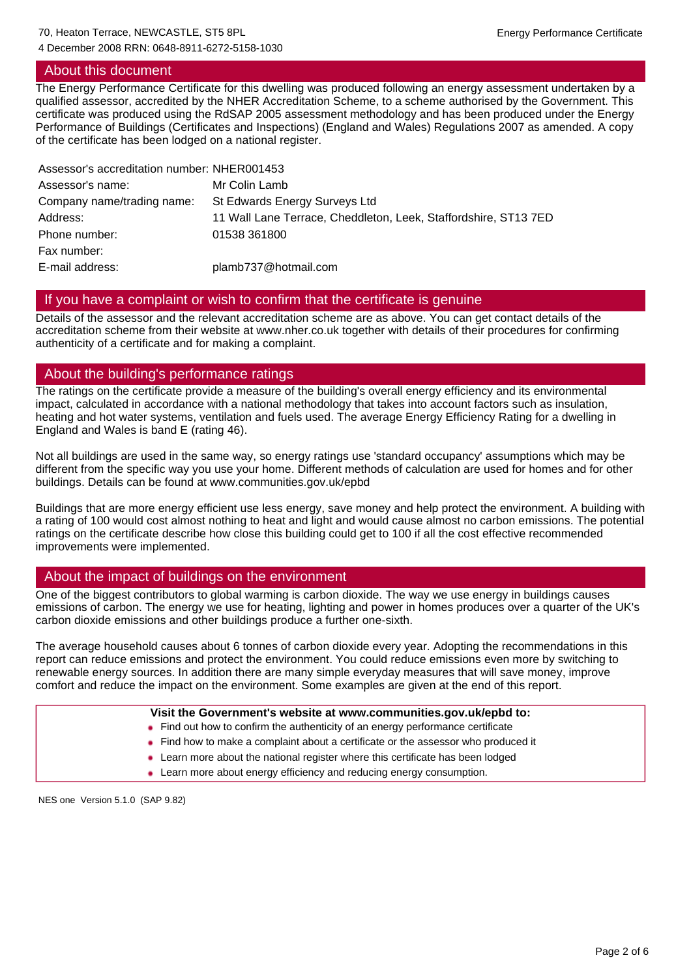# About this document

The Energy Performance Certificate for this dwelling was produced following an energy assessment undertaken by a qualified assessor, accredited by the NHER Accreditation Scheme, to a scheme authorised by the Government. This certificate was produced using the RdSAP 2005 assessment methodology and has been produced under the Energy Performance of Buildings (Certificates and Inspections) (England and Wales) Regulations 2007 as amended. A copy of the certificate has been lodged on a national register.

| Assessor's accreditation number: NHER001453 |                                                                 |
|---------------------------------------------|-----------------------------------------------------------------|
| Assessor's name:                            | Mr Colin Lamb                                                   |
| Company name/trading name:                  | St Edwards Energy Surveys Ltd                                   |
| Address:                                    | 11 Wall Lane Terrace, Cheddleton, Leek, Staffordshire, ST13 7ED |
| Phone number:                               | 01538 361800                                                    |
| Fax number:                                 |                                                                 |
| E-mail address:                             | plamb737@hotmail.com                                            |
|                                             |                                                                 |

# If you have a complaint or wish to confirm that the certificate is genuine

Details of the assessor and the relevant accreditation scheme are as above. You can get contact details of the accreditation scheme from their website at www.nher.co.uk together with details of their procedures for confirming authenticity of a certificate and for making a complaint.

#### About the building's performance ratings

The ratings on the certificate provide a measure of the building's overall energy efficiency and its environmental impact, calculated in accordance with a national methodology that takes into account factors such as insulation, heating and hot water systems, ventilation and fuels used. The average Energy Efficiency Rating for a dwelling in England and Wales is band E (rating 46).

Not all buildings are used in the same way, so energy ratings use 'standard occupancy' assumptions which may be different from the specific way you use your home. Different methods of calculation are used for homes and for other buildings. Details can be found at www.communities.gov.uk/epbd

Buildings that are more energy efficient use less energy, save money and help protect the environment. A building with a rating of 100 would cost almost nothing to heat and light and would cause almost no carbon emissions. The potential ratings on the certificate describe how close this building could get to 100 if all the cost effective recommended improvements were implemented.

#### About the impact of buildings on the environment

One of the biggest contributors to global warming is carbon dioxide. The way we use energy in buildings causes emissions of carbon. The energy we use for heating, lighting and power in homes produces over a quarter of the UK's carbon dioxide emissions and other buildings produce a further one-sixth.

The average household causes about 6 tonnes of carbon dioxide every year. Adopting the recommendations in this report can reduce emissions and protect the environment. You could reduce emissions even more by switching to renewable energy sources. In addition there are many simple everyday measures that will save money, improve comfort and reduce the impact on the environment. Some examples are given at the end of this report.

| Visit the Government's website at www.communities.gov.uk/epbd to:                  |
|------------------------------------------------------------------------------------|
| • Find out how to confirm the authenticity of an energy performance certificate    |
| • Find how to make a complaint about a certificate or the assessor who produced it |
| • Learn more about the national register where this certificate has been lodged    |
| • Learn more about energy efficiency and reducing energy consumption.              |

NES one Version 5.1.0 (SAP 9.82)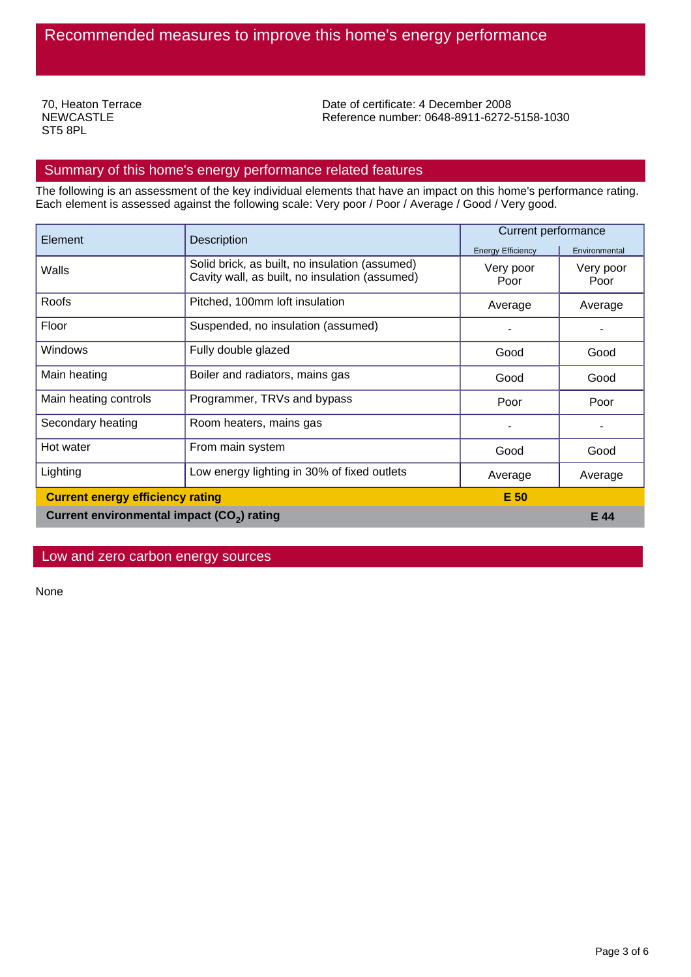70, Heaton Terrace NEWCASTLE ST5 8PL

Date of certificate: 4 December 2008 Reference number: 0648-8911-6272-5158-1030

# Summary of this home's energy performance related features

The following is an assessment of the key individual elements that have an impact on this home's performance rating. Each element is assessed against the following scale: Very poor / Poor / Average / Good / Very good.

| Element                                                | <b>Description</b>                                                                               | Current performance      |                   |
|--------------------------------------------------------|--------------------------------------------------------------------------------------------------|--------------------------|-------------------|
|                                                        |                                                                                                  | <b>Energy Efficiency</b> | Environmental     |
| Walls                                                  | Solid brick, as built, no insulation (assumed)<br>Cavity wall, as built, no insulation (assumed) | Very poor<br>Poor        | Very poor<br>Poor |
| Roofs                                                  | Pitched, 100mm loft insulation                                                                   | Average                  | Average           |
| Floor                                                  | Suspended, no insulation (assumed)                                                               |                          |                   |
| Windows                                                | Fully double glazed                                                                              | Good                     | Good              |
| Main heating                                           | Boiler and radiators, mains gas                                                                  | Good                     | Good              |
| Main heating controls                                  | Programmer, TRVs and bypass                                                                      | Poor                     | Poor              |
| Secondary heating                                      | Room heaters, mains gas                                                                          |                          |                   |
| Hot water                                              | From main system                                                                                 | Good                     | Good              |
| Lighting                                               | Low energy lighting in 30% of fixed outlets                                                      | Average                  | Average           |
| <b>Current energy efficiency rating</b>                |                                                                                                  | E 50                     |                   |
| Current environmental impact (CO <sub>2</sub> ) rating |                                                                                                  |                          | E 44              |

# Low and zero carbon energy sources

None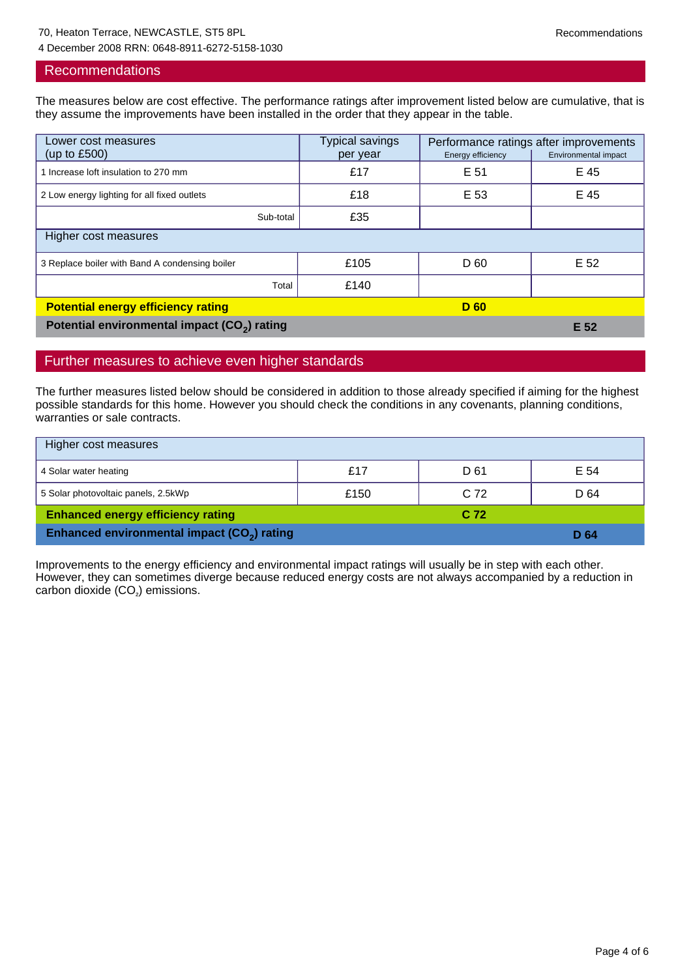# Recommendations

The measures below are cost effective. The performance ratings after improvement listed below are cumulative, that is they assume the improvements have been installed in the order that they appear in the table.

| Lower cost measures<br>(up to $£500$ )                   | <b>Typical savings</b><br>per year | Performance ratings after improvements<br>Environmental impact<br>Energy efficiency |      |  |
|----------------------------------------------------------|------------------------------------|-------------------------------------------------------------------------------------|------|--|
| I Increase loft insulation to 270 mm                     | £17                                | E 51                                                                                | E 45 |  |
| 2 Low energy lighting for all fixed outlets              | £18                                | E 53                                                                                | E 45 |  |
| Sub-total                                                | £35                                |                                                                                     |      |  |
| Higher cost measures                                     |                                    |                                                                                     |      |  |
| 3 Replace boiler with Band A condensing boiler           | £105                               | D 60                                                                                | E 52 |  |
| Total                                                    | £140                               |                                                                                     |      |  |
| <b>Potential energy efficiency rating</b><br><b>D</b> 60 |                                    |                                                                                     |      |  |
| Potential environmental impact (CO <sub>2</sub> ) rating |                                    |                                                                                     | E 52 |  |

#### Further measures to achieve even higher standards

The further measures listed below should be considered in addition to those already specified if aiming for the highest possible standards for this home. However you should check the conditions in any covenants, planning conditions, warranties or sale contracts.

| Higher cost measures                                    |      |                 |      |  |
|---------------------------------------------------------|------|-----------------|------|--|
| 4 Solar water heating                                   | £17  | D 61            | E 54 |  |
| 5 Solar photovoltaic panels, 2.5kWp                     | £150 | C 72            | D 64 |  |
| <b>Enhanced energy efficiency rating</b>                |      | C <sub>72</sub> |      |  |
| Enhanced environmental impact (CO <sub>2</sub> ) rating |      |                 | D 64 |  |

Improvements to the energy efficiency and environmental impact ratings will usually be in step with each other. However, they can sometimes diverge because reduced energy costs are not always accompanied by a reduction in  $carbon$  dioxide  $(CO<sub>2</sub>)$  emissions.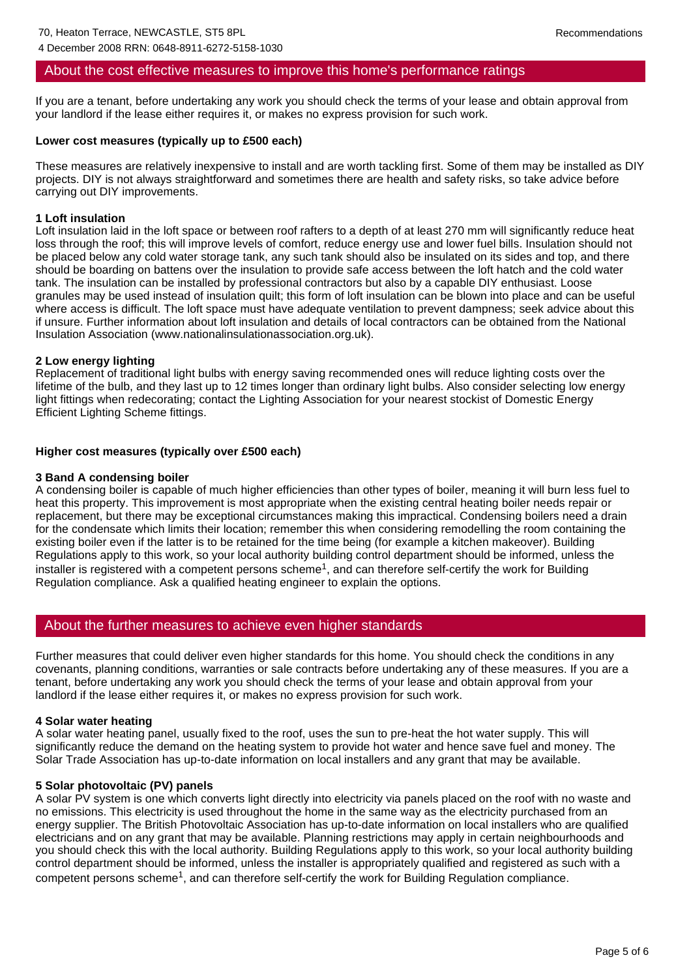### About the cost effective measures to improve this home's performance ratings

If you are a tenant, before undertaking any work you should check the terms of your lease and obtain approval from your landlord if the lease either requires it, or makes no express provision for such work.

#### **Lower cost measures (typically up to £500 each)**

These measures are relatively inexpensive to install and are worth tackling first. Some of them may be installed as DIY projects. DIY is not always straightforward and sometimes there are health and safety risks, so take advice before carrying out DIY improvements.

#### **1 Loft insulation**

Loft insulation laid in the loft space or between roof rafters to a depth of at least 270 mm will significantly reduce heat loss through the roof; this will improve levels of comfort, reduce energy use and lower fuel bills. Insulation should not be placed below any cold water storage tank, any such tank should also be insulated on its sides and top, and there should be boarding on battens over the insulation to provide safe access between the loft hatch and the cold water tank. The insulation can be installed by professional contractors but also by a capable DIY enthusiast. Loose granules may be used instead of insulation quilt; this form of loft insulation can be blown into place and can be useful where access is difficult. The loft space must have adequate ventilation to prevent dampness; seek advice about this if unsure. Further information about loft insulation and details of local contractors can be obtained from the National Insulation Association (www.nationalinsulationassociation.org.uk).

#### **2 Low energy lighting**

Replacement of traditional light bulbs with energy saving recommended ones will reduce lighting costs over the lifetime of the bulb, and they last up to 12 times longer than ordinary light bulbs. Also consider selecting low energy light fittings when redecorating; contact the Lighting Association for your nearest stockist of Domestic Energy Efficient Lighting Scheme fittings.

#### **Higher cost measures (typically over £500 each)**

#### **3 Band A condensing boiler**

A condensing boiler is capable of much higher efficiencies than other types of boiler, meaning it will burn less fuel to heat this property. This improvement is most appropriate when the existing central heating boiler needs repair or replacement, but there may be exceptional circumstances making this impractical. Condensing boilers need a drain for the condensate which limits their location; remember this when considering remodelling the room containing the existing boiler even if the latter is to be retained for the time being (for example a kitchen makeover). Building Regulations apply to this work, so your local authority building control department should be informed, unless the installer is registered with a competent persons scheme<sup>1</sup>, and can therefore self-certify the work for Building Regulation compliance. Ask a qualified heating engineer to explain the options.

#### About the further measures to achieve even higher standards

Further measures that could deliver even higher standards for this home. You should check the conditions in any covenants, planning conditions, warranties or sale contracts before undertaking any of these measures. If you are a tenant, before undertaking any work you should check the terms of your lease and obtain approval from your landlord if the lease either requires it, or makes no express provision for such work.

#### **4 Solar water heating**

A solar water heating panel, usually fixed to the roof, uses the sun to pre-heat the hot water supply. This will significantly reduce the demand on the heating system to provide hot water and hence save fuel and money. The Solar Trade Association has up-to-date information on local installers and any grant that may be available.

#### **5 Solar photovoltaic (PV) panels**

A solar PV system is one which converts light directly into electricity via panels placed on the roof with no waste and no emissions. This electricity is used throughout the home in the same way as the electricity purchased from an energy supplier. The British Photovoltaic Association has up-to-date information on local installers who are qualified electricians and on any grant that may be available. Planning restrictions may apply in certain neighbourhoods and you should check this with the local authority. Building Regulations apply to this work, so your local authority building control department should be informed, unless the installer is appropriately qualified and registered as such with a competent persons scheme<sup>1</sup>, and can therefore self-certify the work for Building Regulation compliance.